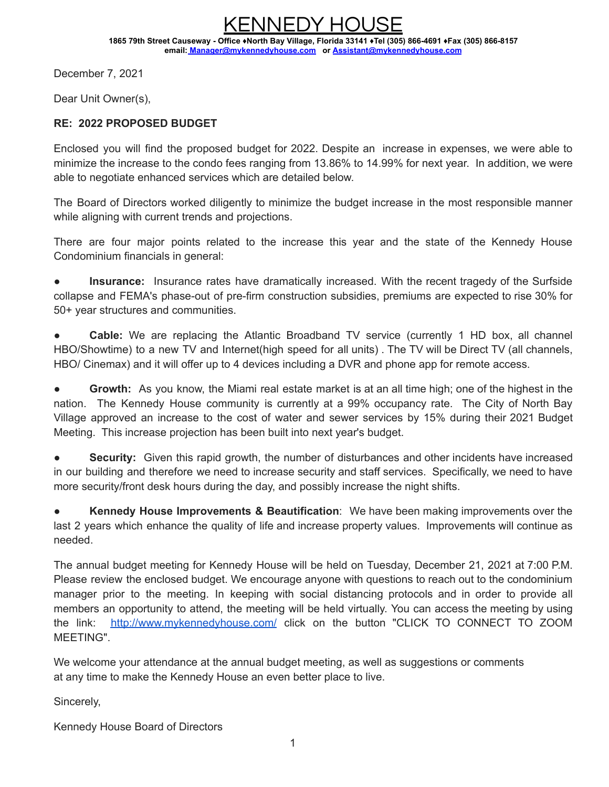KENNEDY HOUSE **1865 79th Street Causeway - Office ♦North Bay Village, Florida 33141 ♦Tel (305) 866-4691 ♦Fax (305) 866-8157 email: Manager[@mykennedyhouse.com](mailto:Eduardo@mykennedyhouse.com) or [Assistant@mykennedyhouse.com](mailto:Assistant@mykennedyhouse.com)**

December 7, 2021

Dear Unit Owner(s),

#### **RE: 2022 PROPOSED BUDGET**

Enclosed you will find the proposed budget for 2022. Despite an increase in expenses, we were able to minimize the increase to the condo fees ranging from 13.86% to 14.99% for next year. In addition, we were able to negotiate enhanced services which are detailed below.

The Board of Directors worked diligently to minimize the budget increase in the most responsible manner while aligning with current trends and projections.

There are four major points related to the increase this year and the state of the Kennedy House Condominium financials in general:

**Insurance:** Insurance rates have dramatically increased. With the recent tragedy of the Surfside collapse and FEMA's phase-out of pre-firm construction subsidies, premiums are expected to rise 30% for 50+ year structures and communities.

**Cable:** We are replacing the Atlantic Broadband TV service (currently 1 HD box, all channel HBO/Showtime) to a new TV and Internet(high speed for all units) . The TV will be Direct TV (all channels, HBO/ Cinemax) and it will offer up to 4 devices including a DVR and phone app for remote access.

**Growth:** As you know, the Miami real estate market is at an all time high; one of the highest in the nation. The Kennedy House community is currently at a 99% occupancy rate. The City of North Bay Village approved an increase to the cost of water and sewer services by 15% during their 2021 Budget Meeting. This increase projection has been built into next year's budget.

**Security:** Given this rapid growth, the number of disturbances and other incidents have increased in our building and therefore we need to increase security and staff services. Specifically, we need to have more security/front desk hours during the day, and possibly increase the night shifts.

**Kennedy House Improvements & Beautification**: We have been making improvements over the last 2 years which enhance the quality of life and increase property values. Improvements will continue as needed.

The annual budget meeting for Kennedy House will be held on Tuesday, December 21, 2021 at 7:00 P.M. Please review the enclosed budget. We encourage anyone with questions to reach out to the condominium manager prior to the meeting. In keeping with social distancing protocols and in order to provide all members an opportunity to attend, the meeting will be held virtually. You can access the meeting by using the link: [http://www.mykennedyhouse.com/](http://www.mykennedyhouse.com/click) click on the button "CLICK TO CONNECT TO ZOOM MEETING".

We welcome your attendance at the annual budget meeting, as well as suggestions or comments at any time to make the Kennedy House an even better place to live.

Sincerely,

Kennedy House Board of Directors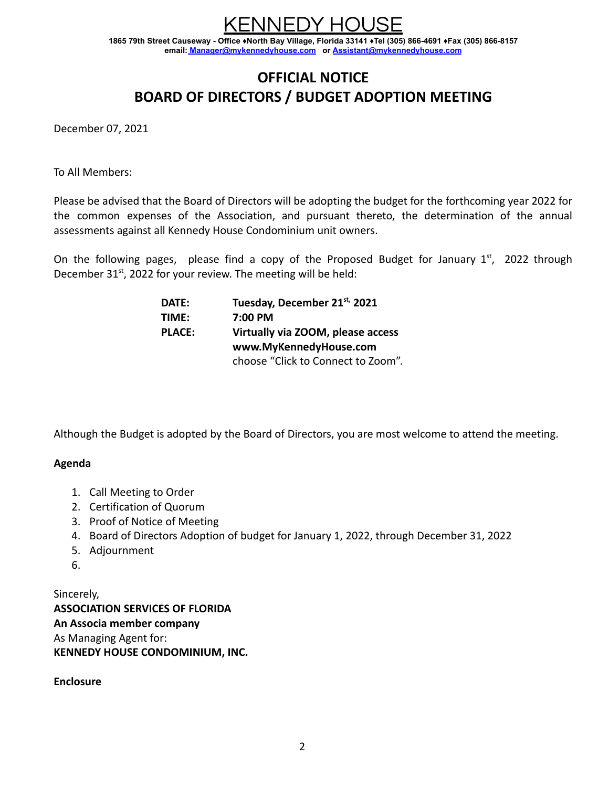JEDY HO

**1865 79th Street Causeway - Office ♦North Bay Village, Florida 33141 ♦Tel (305) 866-4691 ♦Fax (305) 866-8157 email: Manager[@mykennedyhouse.com](mailto:Eduardo@mykennedyhouse.com) or [Assistant@mykennedyhouse.com](mailto:Assistant@mykennedyhouse.com)**

## **OFFICIAL NOTICE BOARD OF DIRECTORS / BUDGET ADOPTION MEETING**

December 07, 2021

To All Members:

Please be advised that the Board of Directors will be adopting the budget for the forthcoming year 2022 for the common expenses of the Association, and pursuant thereto, the determination of the annual assessments against all Kennedy House Condominium unit owners.

On the following pages, please find a copy of the Proposed Budget for January  $1<sup>st</sup>$ , 2022 through December  $31<sup>st</sup>$ , 2022 for your review. The meeting will be held:

| <b>DATE:</b>  | Tuesday, December 21st, 2021       |
|---------------|------------------------------------|
| TIME:         | 7:00 PM                            |
| <b>PLACE:</b> | Virtually via ZOOM, please access  |
|               | www.MyKennedyHouse.com             |
|               | choose "Click to Connect to Zoom". |

Although the Budget is adopted by the Board of Directors, you are most welcome to attend the meeting.

#### **Agenda**

- 1. Call Meeting to Order
- 2. Certification of Quorum
- 3. Proof of Notice of Meeting
- 4. Board of Directors Adoption of budget for January 1, 2022, through December 31, 2022
- 5. Adjournment
- 6.

Sincerely, **ASSOCIATION SERVICES OF FLORIDA An Associa member company** As Managing Agent for: **KENNEDY HOUSE CONDOMINIUM, INC.**

**Enclosure**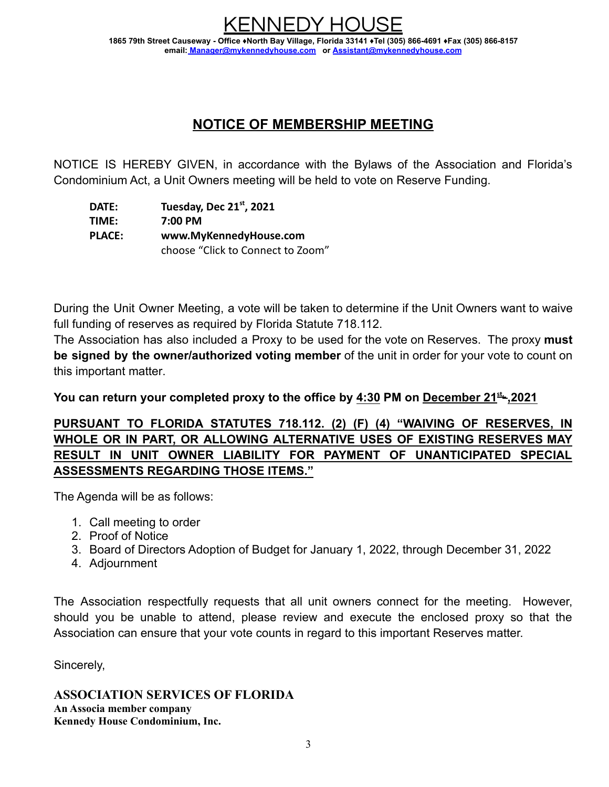## **NOTICE OF MEMBERSHIP MEETING**

NOTICE IS HEREBY GIVEN, in accordance with the Bylaws of the Association and Florida's Condominium Act, a Unit Owners meeting will be held to vote on Reserve Funding.

**DATE: Tuesday, Dec 21st, 2021 TIME: 7:00 PM PLACE: www.MyKennedyHouse.com** choose "Click to Connect to Zoom"

During the Unit Owner Meeting, a vote will be taken to determine if the Unit Owners want to waive full funding of reserves as required by Florida Statute 718.112.

The Association has also included a Proxy to be used for the vote on Reserves. The proxy **must be signed by the owner/authorized voting member** of the unit in order for your vote to count on this important matter.

**You can return your completed proxy to the office by 4:30 PM on December 21 st, ,2021**

#### **PURSUANT TO FLORIDA STATUTES 718.112. (2) (F) (4) "WAIVING OF RESERVES, IN WHOLE OR IN PART, OR ALLOWING ALTERNATIVE USES OF EXISTING RESERVES MAY RESULT IN UNIT OWNER LIABILITY FOR PAYMENT OF UNANTICIPATED SPECIAL ASSESSMENTS REGARDING THOSE ITEMS."**

The Agenda will be as follows:

- 1. Call meeting to order
- 2. Proof of Notice
- 3. Board of Directors Adoption of Budget for January 1, 2022, through December 31, 2022
- 4. Adjournment

The Association respectfully requests that all unit owners connect for the meeting. However, should you be unable to attend, please review and execute the enclosed proxy so that the Association can ensure that your vote counts in regard to this important Reserves matter.

Sincerely,

**ASSOCIATION SERVICES OF FLORIDA An Associa member company Kennedy House Condominium, Inc.**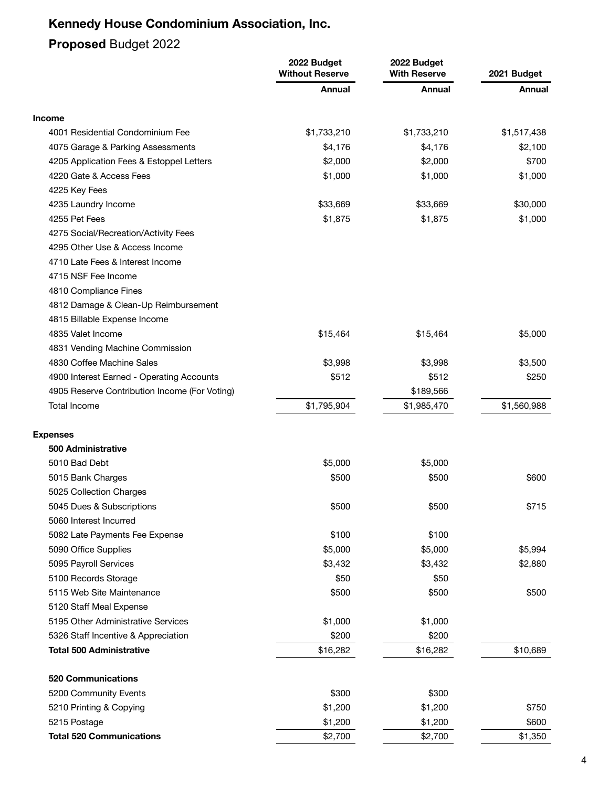## **Proposed** Budget 2022

|                                               | 2022 Budget<br><b>Without Reserve</b> | 2022 Budget<br><b>With Reserve</b> | 2021 Budget |  |
|-----------------------------------------------|---------------------------------------|------------------------------------|-------------|--|
|                                               | Annual                                | Annual                             | Annual      |  |
| <b>Income</b>                                 |                                       |                                    |             |  |
| 4001 Residential Condominium Fee              | \$1,733,210                           | \$1,733,210                        | \$1,517,438 |  |
| 4075 Garage & Parking Assessments             | \$4,176                               | \$4,176                            | \$2,100     |  |
| 4205 Application Fees & Estoppel Letters      | \$2,000                               | \$2,000                            | \$700       |  |
| 4220 Gate & Access Fees                       | \$1,000                               | \$1,000                            | \$1,000     |  |
| 4225 Key Fees                                 |                                       |                                    |             |  |
| 4235 Laundry Income                           | \$33,669                              | \$33,669                           | \$30,000    |  |
| 4255 Pet Fees                                 | \$1,875                               | \$1,875                            | \$1,000     |  |
| 4275 Social/Recreation/Activity Fees          |                                       |                                    |             |  |
| 4295 Other Use & Access Income                |                                       |                                    |             |  |
| 4710 Late Fees & Interest Income              |                                       |                                    |             |  |
| 4715 NSF Fee Income                           |                                       |                                    |             |  |
| 4810 Compliance Fines                         |                                       |                                    |             |  |
| 4812 Damage & Clean-Up Reimbursement          |                                       |                                    |             |  |
| 4815 Billable Expense Income                  |                                       |                                    |             |  |
| 4835 Valet Income                             | \$15,464                              | \$15,464                           | \$5,000     |  |
| 4831 Vending Machine Commission               |                                       |                                    |             |  |
| 4830 Coffee Machine Sales                     | \$3,998                               | \$3,998                            | \$3,500     |  |
| 4900 Interest Earned - Operating Accounts     | \$512                                 | \$512                              | \$250       |  |
| 4905 Reserve Contribution Income (For Voting) |                                       | \$189,566                          |             |  |
| <b>Total Income</b>                           | \$1,795,904                           | \$1,985,470                        | \$1,560,988 |  |
| <b>Expenses</b>                               |                                       |                                    |             |  |
| 500 Administrative                            |                                       |                                    |             |  |
| 5010 Bad Debt                                 | \$5,000                               | \$5,000                            |             |  |
| 5015 Bank Charges                             | \$500                                 | \$500                              | \$600       |  |
| 5025 Collection Charges                       |                                       |                                    |             |  |
| 5045 Dues & Subscriptions                     | \$500                                 | \$500                              | \$715       |  |
| 5060 Interest Incurred                        |                                       |                                    |             |  |
| 5082 Late Payments Fee Expense                | \$100                                 | \$100                              |             |  |
| 5090 Office Supplies                          | \$5,000                               | \$5,000                            | \$5,994     |  |
| 5095 Payroll Services                         | \$3,432                               | \$3,432                            | \$2,880     |  |
| 5100 Records Storage                          | \$50                                  | \$50                               |             |  |
| 5115 Web Site Maintenance                     | \$500                                 | \$500                              | \$500       |  |
| 5120 Staff Meal Expense                       |                                       |                                    |             |  |
| 5195 Other Administrative Services            | \$1,000                               | \$1,000                            |             |  |
| 5326 Staff Incentive & Appreciation           | \$200                                 | \$200                              |             |  |
| <b>Total 500 Administrative</b>               | \$16,282                              | \$16,282                           | \$10,689    |  |
| <b>520 Communications</b>                     |                                       |                                    |             |  |
| 5200 Community Events                         | \$300                                 | \$300                              |             |  |
| 5210 Printing & Copying                       | \$1,200                               | \$1,200                            | \$750       |  |
| 5215 Postage                                  | \$1,200                               | \$1,200                            | \$600       |  |
| <b>Total 520 Communications</b>               | \$2,700                               | \$2,700                            | \$1,350     |  |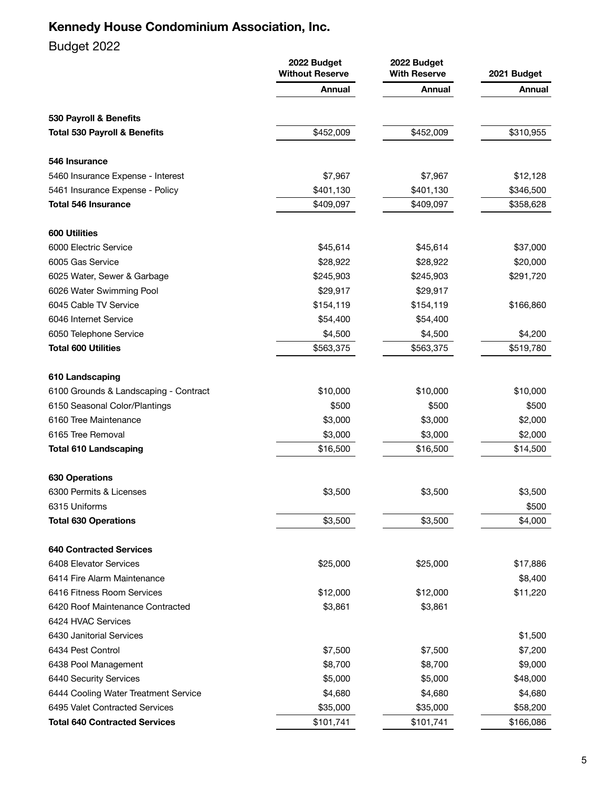## Budget 2022

| Annual<br>Annual<br>Annual<br>530 Payroll & Benefits<br>\$452,009<br>\$452,009<br>\$310,955<br><b>Total 530 Payroll &amp; Benefits</b><br>546 Insurance<br>\$7,967<br>\$7,967<br>5460 Insurance Expense - Interest<br>\$12,128<br>\$401,130<br>\$401,130<br>5461 Insurance Expense - Policy<br>\$346,500<br>\$409,097<br>\$409,097<br><b>Total 546 Insurance</b><br>\$358,628<br><b>600 Utilities</b><br>\$45,614<br>6000 Electric Service<br>\$45,614<br>\$37,000<br>6005 Gas Service<br>\$28,922<br>\$28,922<br>\$20,000<br>\$245,903<br>6025 Water, Sewer & Garbage<br>\$245,903<br>\$291,720<br>\$29,917<br>6026 Water Swimming Pool<br>\$29,917<br>6045 Cable TV Service<br>\$154,119<br>\$154,119<br>\$166,860<br>6046 Internet Service<br>\$54,400<br>\$54,400<br>\$4,500<br>\$4,200<br>6050 Telephone Service<br>\$4,500<br><b>Total 600 Utilities</b><br>\$519,780<br>\$563,375<br>\$563,375<br>610 Landscaping<br>\$10,000<br>\$10,000<br>\$10,000<br>6100 Grounds & Landscaping - Contract<br>\$500<br>\$500<br>\$500<br>6150 Seasonal Color/Plantings<br>6160 Tree Maintenance<br>\$3,000<br>\$3,000<br>\$2,000<br>6165 Tree Removal<br>\$3,000<br>\$3,000<br>\$2,000<br>\$16,500<br>\$16,500<br>\$14,500<br><b>Total 610 Landscaping</b><br><b>630 Operations</b><br>\$3,500<br>6300 Permits & Licenses<br>\$3,500<br>\$3,500<br>\$500<br>6315 Uniforms<br><b>Total 630 Operations</b><br>\$3,500<br>\$3,500<br>\$4,000<br><b>640 Contracted Services</b><br>\$25,000<br>\$25,000<br>\$17,886<br>6408 Elevator Services<br>\$8,400<br>6414 Fire Alarm Maintenance<br>6416 Fitness Room Services<br>\$12,000<br>\$12,000<br>\$11,220<br>\$3,861<br>6420 Roof Maintenance Contracted<br>\$3,861<br>6424 HVAC Services<br>6430 Janitorial Services<br>\$1,500<br>6434 Pest Control<br>\$7,500<br>\$7,500<br>\$7,200<br>\$8,700<br>\$9,000<br>6438 Pool Management<br>\$8,700<br>\$5,000<br>\$5,000<br>6440 Security Services<br>\$48,000<br>6444 Cooling Water Treatment Service<br>\$4,680<br>\$4,680<br>\$4,680<br>\$35,000<br>\$35,000<br>\$58,200<br>6495 Valet Contracted Services<br><b>Total 640 Contracted Services</b><br>\$101,741<br>\$101,741<br>\$166,086 | 2022 Budget<br><b>Without Reserve</b> | 2022 Budget<br><b>With Reserve</b> | 2021 Budget |  |
|----------------------------------------------------------------------------------------------------------------------------------------------------------------------------------------------------------------------------------------------------------------------------------------------------------------------------------------------------------------------------------------------------------------------------------------------------------------------------------------------------------------------------------------------------------------------------------------------------------------------------------------------------------------------------------------------------------------------------------------------------------------------------------------------------------------------------------------------------------------------------------------------------------------------------------------------------------------------------------------------------------------------------------------------------------------------------------------------------------------------------------------------------------------------------------------------------------------------------------------------------------------------------------------------------------------------------------------------------------------------------------------------------------------------------------------------------------------------------------------------------------------------------------------------------------------------------------------------------------------------------------------------------------------------------------------------------------------------------------------------------------------------------------------------------------------------------------------------------------------------------------------------------------------------------------------------------------------------------------------------------------------------------------------------------------------------------------------------------------------------------------------------------------------------------------|---------------------------------------|------------------------------------|-------------|--|
|                                                                                                                                                                                                                                                                                                                                                                                                                                                                                                                                                                                                                                                                                                                                                                                                                                                                                                                                                                                                                                                                                                                                                                                                                                                                                                                                                                                                                                                                                                                                                                                                                                                                                                                                                                                                                                                                                                                                                                                                                                                                                                                                                                                  |                                       |                                    |             |  |
|                                                                                                                                                                                                                                                                                                                                                                                                                                                                                                                                                                                                                                                                                                                                                                                                                                                                                                                                                                                                                                                                                                                                                                                                                                                                                                                                                                                                                                                                                                                                                                                                                                                                                                                                                                                                                                                                                                                                                                                                                                                                                                                                                                                  |                                       |                                    |             |  |
|                                                                                                                                                                                                                                                                                                                                                                                                                                                                                                                                                                                                                                                                                                                                                                                                                                                                                                                                                                                                                                                                                                                                                                                                                                                                                                                                                                                                                                                                                                                                                                                                                                                                                                                                                                                                                                                                                                                                                                                                                                                                                                                                                                                  |                                       |                                    |             |  |
|                                                                                                                                                                                                                                                                                                                                                                                                                                                                                                                                                                                                                                                                                                                                                                                                                                                                                                                                                                                                                                                                                                                                                                                                                                                                                                                                                                                                                                                                                                                                                                                                                                                                                                                                                                                                                                                                                                                                                                                                                                                                                                                                                                                  |                                       |                                    |             |  |
|                                                                                                                                                                                                                                                                                                                                                                                                                                                                                                                                                                                                                                                                                                                                                                                                                                                                                                                                                                                                                                                                                                                                                                                                                                                                                                                                                                                                                                                                                                                                                                                                                                                                                                                                                                                                                                                                                                                                                                                                                                                                                                                                                                                  |                                       |                                    |             |  |
|                                                                                                                                                                                                                                                                                                                                                                                                                                                                                                                                                                                                                                                                                                                                                                                                                                                                                                                                                                                                                                                                                                                                                                                                                                                                                                                                                                                                                                                                                                                                                                                                                                                                                                                                                                                                                                                                                                                                                                                                                                                                                                                                                                                  |                                       |                                    |             |  |
|                                                                                                                                                                                                                                                                                                                                                                                                                                                                                                                                                                                                                                                                                                                                                                                                                                                                                                                                                                                                                                                                                                                                                                                                                                                                                                                                                                                                                                                                                                                                                                                                                                                                                                                                                                                                                                                                                                                                                                                                                                                                                                                                                                                  |                                       |                                    |             |  |
|                                                                                                                                                                                                                                                                                                                                                                                                                                                                                                                                                                                                                                                                                                                                                                                                                                                                                                                                                                                                                                                                                                                                                                                                                                                                                                                                                                                                                                                                                                                                                                                                                                                                                                                                                                                                                                                                                                                                                                                                                                                                                                                                                                                  |                                       |                                    |             |  |
|                                                                                                                                                                                                                                                                                                                                                                                                                                                                                                                                                                                                                                                                                                                                                                                                                                                                                                                                                                                                                                                                                                                                                                                                                                                                                                                                                                                                                                                                                                                                                                                                                                                                                                                                                                                                                                                                                                                                                                                                                                                                                                                                                                                  |                                       |                                    |             |  |
|                                                                                                                                                                                                                                                                                                                                                                                                                                                                                                                                                                                                                                                                                                                                                                                                                                                                                                                                                                                                                                                                                                                                                                                                                                                                                                                                                                                                                                                                                                                                                                                                                                                                                                                                                                                                                                                                                                                                                                                                                                                                                                                                                                                  |                                       |                                    |             |  |
|                                                                                                                                                                                                                                                                                                                                                                                                                                                                                                                                                                                                                                                                                                                                                                                                                                                                                                                                                                                                                                                                                                                                                                                                                                                                                                                                                                                                                                                                                                                                                                                                                                                                                                                                                                                                                                                                                                                                                                                                                                                                                                                                                                                  |                                       |                                    |             |  |
|                                                                                                                                                                                                                                                                                                                                                                                                                                                                                                                                                                                                                                                                                                                                                                                                                                                                                                                                                                                                                                                                                                                                                                                                                                                                                                                                                                                                                                                                                                                                                                                                                                                                                                                                                                                                                                                                                                                                                                                                                                                                                                                                                                                  |                                       |                                    |             |  |
|                                                                                                                                                                                                                                                                                                                                                                                                                                                                                                                                                                                                                                                                                                                                                                                                                                                                                                                                                                                                                                                                                                                                                                                                                                                                                                                                                                                                                                                                                                                                                                                                                                                                                                                                                                                                                                                                                                                                                                                                                                                                                                                                                                                  |                                       |                                    |             |  |
|                                                                                                                                                                                                                                                                                                                                                                                                                                                                                                                                                                                                                                                                                                                                                                                                                                                                                                                                                                                                                                                                                                                                                                                                                                                                                                                                                                                                                                                                                                                                                                                                                                                                                                                                                                                                                                                                                                                                                                                                                                                                                                                                                                                  |                                       |                                    |             |  |
|                                                                                                                                                                                                                                                                                                                                                                                                                                                                                                                                                                                                                                                                                                                                                                                                                                                                                                                                                                                                                                                                                                                                                                                                                                                                                                                                                                                                                                                                                                                                                                                                                                                                                                                                                                                                                                                                                                                                                                                                                                                                                                                                                                                  |                                       |                                    |             |  |
|                                                                                                                                                                                                                                                                                                                                                                                                                                                                                                                                                                                                                                                                                                                                                                                                                                                                                                                                                                                                                                                                                                                                                                                                                                                                                                                                                                                                                                                                                                                                                                                                                                                                                                                                                                                                                                                                                                                                                                                                                                                                                                                                                                                  |                                       |                                    |             |  |
|                                                                                                                                                                                                                                                                                                                                                                                                                                                                                                                                                                                                                                                                                                                                                                                                                                                                                                                                                                                                                                                                                                                                                                                                                                                                                                                                                                                                                                                                                                                                                                                                                                                                                                                                                                                                                                                                                                                                                                                                                                                                                                                                                                                  |                                       |                                    |             |  |
|                                                                                                                                                                                                                                                                                                                                                                                                                                                                                                                                                                                                                                                                                                                                                                                                                                                                                                                                                                                                                                                                                                                                                                                                                                                                                                                                                                                                                                                                                                                                                                                                                                                                                                                                                                                                                                                                                                                                                                                                                                                                                                                                                                                  |                                       |                                    |             |  |
|                                                                                                                                                                                                                                                                                                                                                                                                                                                                                                                                                                                                                                                                                                                                                                                                                                                                                                                                                                                                                                                                                                                                                                                                                                                                                                                                                                                                                                                                                                                                                                                                                                                                                                                                                                                                                                                                                                                                                                                                                                                                                                                                                                                  |                                       |                                    |             |  |
|                                                                                                                                                                                                                                                                                                                                                                                                                                                                                                                                                                                                                                                                                                                                                                                                                                                                                                                                                                                                                                                                                                                                                                                                                                                                                                                                                                                                                                                                                                                                                                                                                                                                                                                                                                                                                                                                                                                                                                                                                                                                                                                                                                                  |                                       |                                    |             |  |
|                                                                                                                                                                                                                                                                                                                                                                                                                                                                                                                                                                                                                                                                                                                                                                                                                                                                                                                                                                                                                                                                                                                                                                                                                                                                                                                                                                                                                                                                                                                                                                                                                                                                                                                                                                                                                                                                                                                                                                                                                                                                                                                                                                                  |                                       |                                    |             |  |
|                                                                                                                                                                                                                                                                                                                                                                                                                                                                                                                                                                                                                                                                                                                                                                                                                                                                                                                                                                                                                                                                                                                                                                                                                                                                                                                                                                                                                                                                                                                                                                                                                                                                                                                                                                                                                                                                                                                                                                                                                                                                                                                                                                                  |                                       |                                    |             |  |
|                                                                                                                                                                                                                                                                                                                                                                                                                                                                                                                                                                                                                                                                                                                                                                                                                                                                                                                                                                                                                                                                                                                                                                                                                                                                                                                                                                                                                                                                                                                                                                                                                                                                                                                                                                                                                                                                                                                                                                                                                                                                                                                                                                                  |                                       |                                    |             |  |
|                                                                                                                                                                                                                                                                                                                                                                                                                                                                                                                                                                                                                                                                                                                                                                                                                                                                                                                                                                                                                                                                                                                                                                                                                                                                                                                                                                                                                                                                                                                                                                                                                                                                                                                                                                                                                                                                                                                                                                                                                                                                                                                                                                                  |                                       |                                    |             |  |
|                                                                                                                                                                                                                                                                                                                                                                                                                                                                                                                                                                                                                                                                                                                                                                                                                                                                                                                                                                                                                                                                                                                                                                                                                                                                                                                                                                                                                                                                                                                                                                                                                                                                                                                                                                                                                                                                                                                                                                                                                                                                                                                                                                                  |                                       |                                    |             |  |
|                                                                                                                                                                                                                                                                                                                                                                                                                                                                                                                                                                                                                                                                                                                                                                                                                                                                                                                                                                                                                                                                                                                                                                                                                                                                                                                                                                                                                                                                                                                                                                                                                                                                                                                                                                                                                                                                                                                                                                                                                                                                                                                                                                                  |                                       |                                    |             |  |
|                                                                                                                                                                                                                                                                                                                                                                                                                                                                                                                                                                                                                                                                                                                                                                                                                                                                                                                                                                                                                                                                                                                                                                                                                                                                                                                                                                                                                                                                                                                                                                                                                                                                                                                                                                                                                                                                                                                                                                                                                                                                                                                                                                                  |                                       |                                    |             |  |
|                                                                                                                                                                                                                                                                                                                                                                                                                                                                                                                                                                                                                                                                                                                                                                                                                                                                                                                                                                                                                                                                                                                                                                                                                                                                                                                                                                                                                                                                                                                                                                                                                                                                                                                                                                                                                                                                                                                                                                                                                                                                                                                                                                                  |                                       |                                    |             |  |
|                                                                                                                                                                                                                                                                                                                                                                                                                                                                                                                                                                                                                                                                                                                                                                                                                                                                                                                                                                                                                                                                                                                                                                                                                                                                                                                                                                                                                                                                                                                                                                                                                                                                                                                                                                                                                                                                                                                                                                                                                                                                                                                                                                                  |                                       |                                    |             |  |
|                                                                                                                                                                                                                                                                                                                                                                                                                                                                                                                                                                                                                                                                                                                                                                                                                                                                                                                                                                                                                                                                                                                                                                                                                                                                                                                                                                                                                                                                                                                                                                                                                                                                                                                                                                                                                                                                                                                                                                                                                                                                                                                                                                                  |                                       |                                    |             |  |
|                                                                                                                                                                                                                                                                                                                                                                                                                                                                                                                                                                                                                                                                                                                                                                                                                                                                                                                                                                                                                                                                                                                                                                                                                                                                                                                                                                                                                                                                                                                                                                                                                                                                                                                                                                                                                                                                                                                                                                                                                                                                                                                                                                                  |                                       |                                    |             |  |
|                                                                                                                                                                                                                                                                                                                                                                                                                                                                                                                                                                                                                                                                                                                                                                                                                                                                                                                                                                                                                                                                                                                                                                                                                                                                                                                                                                                                                                                                                                                                                                                                                                                                                                                                                                                                                                                                                                                                                                                                                                                                                                                                                                                  |                                       |                                    |             |  |
|                                                                                                                                                                                                                                                                                                                                                                                                                                                                                                                                                                                                                                                                                                                                                                                                                                                                                                                                                                                                                                                                                                                                                                                                                                                                                                                                                                                                                                                                                                                                                                                                                                                                                                                                                                                                                                                                                                                                                                                                                                                                                                                                                                                  |                                       |                                    |             |  |
|                                                                                                                                                                                                                                                                                                                                                                                                                                                                                                                                                                                                                                                                                                                                                                                                                                                                                                                                                                                                                                                                                                                                                                                                                                                                                                                                                                                                                                                                                                                                                                                                                                                                                                                                                                                                                                                                                                                                                                                                                                                                                                                                                                                  |                                       |                                    |             |  |
|                                                                                                                                                                                                                                                                                                                                                                                                                                                                                                                                                                                                                                                                                                                                                                                                                                                                                                                                                                                                                                                                                                                                                                                                                                                                                                                                                                                                                                                                                                                                                                                                                                                                                                                                                                                                                                                                                                                                                                                                                                                                                                                                                                                  |                                       |                                    |             |  |
|                                                                                                                                                                                                                                                                                                                                                                                                                                                                                                                                                                                                                                                                                                                                                                                                                                                                                                                                                                                                                                                                                                                                                                                                                                                                                                                                                                                                                                                                                                                                                                                                                                                                                                                                                                                                                                                                                                                                                                                                                                                                                                                                                                                  |                                       |                                    |             |  |
|                                                                                                                                                                                                                                                                                                                                                                                                                                                                                                                                                                                                                                                                                                                                                                                                                                                                                                                                                                                                                                                                                                                                                                                                                                                                                                                                                                                                                                                                                                                                                                                                                                                                                                                                                                                                                                                                                                                                                                                                                                                                                                                                                                                  |                                       |                                    |             |  |
|                                                                                                                                                                                                                                                                                                                                                                                                                                                                                                                                                                                                                                                                                                                                                                                                                                                                                                                                                                                                                                                                                                                                                                                                                                                                                                                                                                                                                                                                                                                                                                                                                                                                                                                                                                                                                                                                                                                                                                                                                                                                                                                                                                                  |                                       |                                    |             |  |
|                                                                                                                                                                                                                                                                                                                                                                                                                                                                                                                                                                                                                                                                                                                                                                                                                                                                                                                                                                                                                                                                                                                                                                                                                                                                                                                                                                                                                                                                                                                                                                                                                                                                                                                                                                                                                                                                                                                                                                                                                                                                                                                                                                                  |                                       |                                    |             |  |
|                                                                                                                                                                                                                                                                                                                                                                                                                                                                                                                                                                                                                                                                                                                                                                                                                                                                                                                                                                                                                                                                                                                                                                                                                                                                                                                                                                                                                                                                                                                                                                                                                                                                                                                                                                                                                                                                                                                                                                                                                                                                                                                                                                                  |                                       |                                    |             |  |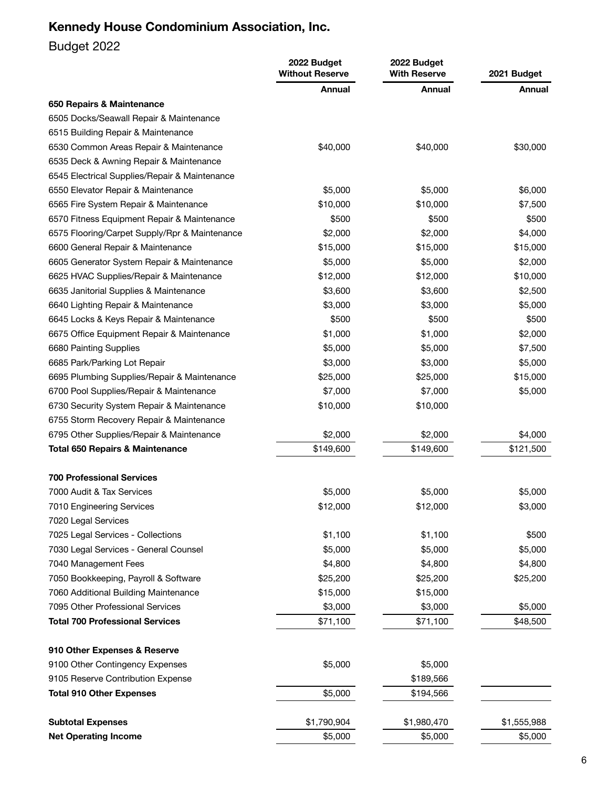# Budget 2022

|                                               | 2022 Budget<br><b>Without Reserve</b> | 2022 Budget<br><b>With Reserve</b> |             |
|-----------------------------------------------|---------------------------------------|------------------------------------|-------------|
|                                               | <b>Annual</b>                         | Annual                             | Annual      |
| 650 Repairs & Maintenance                     |                                       |                                    |             |
| 6505 Docks/Seawall Repair & Maintenance       |                                       |                                    |             |
| 6515 Building Repair & Maintenance            |                                       |                                    |             |
| 6530 Common Areas Repair & Maintenance        | \$40,000                              | \$40,000                           | \$30,000    |
| 6535 Deck & Awning Repair & Maintenance       |                                       |                                    |             |
| 6545 Electrical Supplies/Repair & Maintenance |                                       |                                    |             |
| 6550 Elevator Repair & Maintenance            | \$5,000                               | \$5,000                            | \$6,000     |
| 6565 Fire System Repair & Maintenance         | \$10,000                              | \$10,000                           | \$7,500     |
| 6570 Fitness Equipment Repair & Maintenance   | \$500                                 | \$500                              | \$500       |
| 6575 Flooring/Carpet Supply/Rpr & Maintenance | \$2,000                               | \$2,000                            | \$4,000     |
| 6600 General Repair & Maintenance             | \$15,000                              | \$15,000                           | \$15,000    |
| 6605 Generator System Repair & Maintenance    | \$5,000                               | \$5,000                            | \$2,000     |
| 6625 HVAC Supplies/Repair & Maintenance       | \$12,000                              | \$12,000                           | \$10,000    |
| 6635 Janitorial Supplies & Maintenance        | \$3,600                               | \$3,600                            | \$2,500     |
| 6640 Lighting Repair & Maintenance            | \$3,000                               | \$3,000                            | \$5,000     |
| 6645 Locks & Keys Repair & Maintenance        | \$500                                 | \$500                              | \$500       |
| 6675 Office Equipment Repair & Maintenance    | \$1,000                               | \$1,000                            | \$2,000     |
| 6680 Painting Supplies                        | \$5,000                               | \$5,000                            | \$7,500     |
| 6685 Park/Parking Lot Repair                  | \$3,000                               | \$3,000                            | \$5,000     |
| 6695 Plumbing Supplies/Repair & Maintenance   | \$25,000                              | \$25,000                           | \$15,000    |
| 6700 Pool Supplies/Repair & Maintenance       | \$7,000                               | \$7,000                            | \$5,000     |
| 6730 Security System Repair & Maintenance     | \$10,000                              | \$10,000                           |             |
| 6755 Storm Recovery Repair & Maintenance      |                                       |                                    |             |
| 6795 Other Supplies/Repair & Maintenance      | \$2,000                               | \$2,000                            | \$4,000     |
| <b>Total 650 Repairs &amp; Maintenance</b>    | \$149,600                             | \$149,600                          | \$121,500   |
|                                               |                                       |                                    |             |
| <b>700 Professional Services</b>              |                                       |                                    |             |
| 7000 Audit & Tax Services                     | \$5,000                               | \$5,000                            | \$5,000     |
| 7010 Engineering Services                     | \$12,000                              | \$12,000                           | \$3,000     |
| 7020 Legal Services                           |                                       |                                    |             |
| 7025 Legal Services - Collections             | \$1,100                               | \$1,100                            | \$500       |
| 7030 Legal Services - General Counsel         | \$5,000                               | \$5,000                            | \$5,000     |
| 7040 Management Fees                          | \$4,800                               | \$4,800                            | \$4,800     |
| 7050 Bookkeeping, Payroll & Software          | \$25,200                              | \$25,200                           | \$25,200    |
| 7060 Additional Building Maintenance          | \$15,000                              | \$15,000                           |             |
| 7095 Other Professional Services              | \$3,000                               | \$3,000                            | \$5,000     |
| <b>Total 700 Professional Services</b>        | \$71,100                              | \$71,100                           | \$48,500    |
| 910 Other Expenses & Reserve                  |                                       |                                    |             |
| 9100 Other Contingency Expenses               | \$5,000                               | \$5,000                            |             |
| 9105 Reserve Contribution Expense             |                                       | \$189,566                          |             |
|                                               | \$5,000                               | \$194,566                          |             |
| <b>Total 910 Other Expenses</b>               |                                       |                                    |             |
| <b>Subtotal Expenses</b>                      | \$1,790,904                           | \$1,980,470                        | \$1,555,988 |
| <b>Net Operating Income</b>                   | \$5,000                               | \$5,000                            | \$5,000     |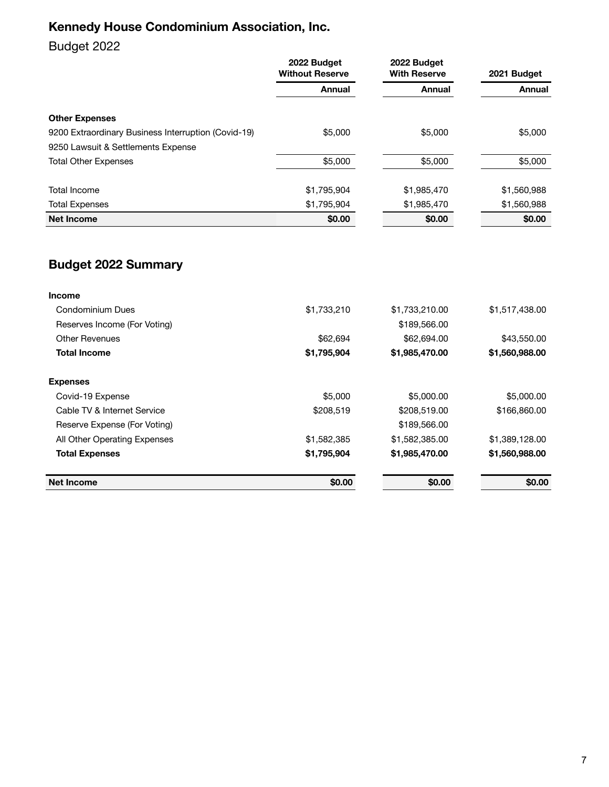## Budget 2022

|                                                     | 2022 Budget<br><b>Without Reserve</b> | 2022 Budget<br><b>With Reserve</b> | 2021 Budget   |
|-----------------------------------------------------|---------------------------------------|------------------------------------|---------------|
|                                                     | <b>Annual</b>                         | Annual                             | <b>Annual</b> |
| <b>Other Expenses</b>                               |                                       |                                    |               |
| 9200 Extraordinary Business Interruption (Covid-19) | \$5,000                               | \$5,000                            | \$5,000       |
| 9250 Lawsuit & Settlements Expense                  |                                       |                                    |               |
| <b>Total Other Expenses</b>                         | \$5,000                               | \$5,000                            | \$5,000       |
| <b>Total Income</b>                                 | \$1,795,904                           | \$1,985,470                        | \$1,560,988   |
| <b>Total Expenses</b>                               | \$1,795,904                           | \$1,985,470                        | \$1,560,988   |
| <b>Net Income</b>                                   | \$0.00                                | \$0.00                             | \$0.00        |

# **Budget 2022 Summary**

| <b>Income</b>                |             |                |                |
|------------------------------|-------------|----------------|----------------|
| Condominium Dues             | \$1,733,210 | \$1,733,210.00 | \$1,517,438.00 |
| Reserves Income (For Voting) |             | \$189,566.00   |                |
| <b>Other Revenues</b>        | \$62,694    | \$62,694.00    | \$43,550.00    |
| <b>Total Income</b>          | \$1,795,904 | \$1,985,470.00 | \$1,560,988.00 |
| <b>Expenses</b>              |             |                |                |
| Covid-19 Expense             | \$5,000     | \$5,000.00     | \$5,000.00     |
| Cable TV & Internet Service  | \$208,519   | \$208,519.00   | \$166,860.00   |
| Reserve Expense (For Voting) |             | \$189,566.00   |                |
| All Other Operating Expenses | \$1,582,385 | \$1,582,385.00 | \$1,389,128.00 |
| <b>Total Expenses</b>        | \$1,795,904 | \$1,985,470.00 | \$1,560,988.00 |
| Net Income                   | \$0.00      | \$0.00         | \$0.00         |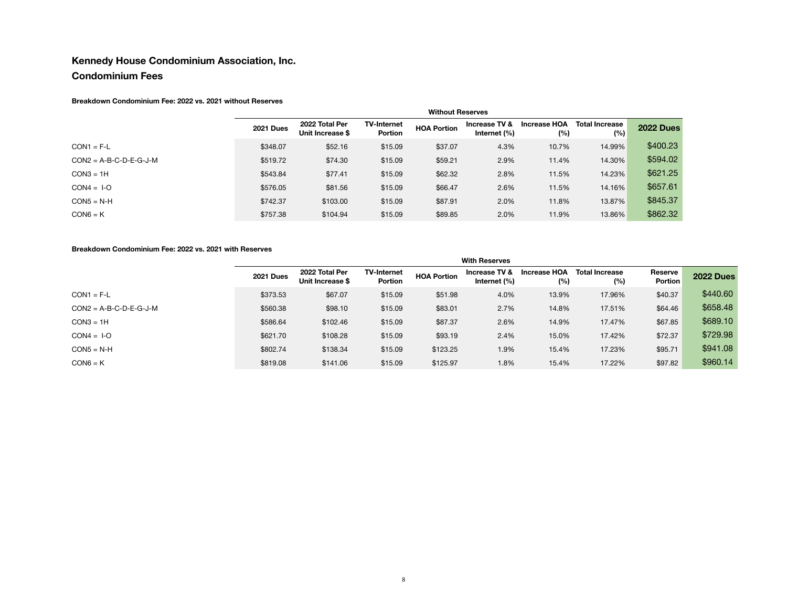#### **Condominium Fees**

#### **Breakdown Condominium Fee: 2022 vs. 2021 without Reserves**

|                          | <b>Without Reserves</b> |                                    |                                      |                    |                                  |                            |                              |                  |
|--------------------------|-------------------------|------------------------------------|--------------------------------------|--------------------|----------------------------------|----------------------------|------------------------------|------------------|
|                          | <b>2021 Dues</b>        | 2022 Total Per<br>Unit Increase \$ | <b>TV-Internet</b><br><b>Portion</b> | <b>HOA Portion</b> | Increase TV &<br>Internet $(\%)$ | <b>Increase HOA</b><br>(%) | <b>Total Increase</b><br>(%) | <b>2022 Dues</b> |
| $CON1 = F-L$             | \$348.07                | \$52.16                            | \$15.09                              | \$37.07            | 4.3%                             | 10.7%                      | 14.99%                       | \$400.23         |
| $CON2 = A-B-C-D-E-G-J-M$ | \$519.72                | \$74.30                            | \$15.09                              | \$59.21            | 2.9%                             | 11.4%                      | 14.30%                       | \$594.02         |
| $CON3 = 1H$              | \$543.84                | \$77.41                            | \$15.09                              | \$62.32            | 2.8%                             | 11.5%                      | 14.23%                       | \$621.25         |
| $CON4 = I-O$             | \$576.05                | \$81.56                            | \$15.09                              | \$66.47            | 2.6%                             | 11.5%                      | 14.16%                       | \$657.61         |
| $CON5 = N-H$             | \$742.37                | \$103.00                           | \$15.09                              | \$87.91            | 2.0%                             | 11.8%                      | 13.87%                       | \$845.37         |
| $CON6 = K$               | \$757.38                | \$104.94                           | \$15.09                              | \$89.85            | 2.0%                             | 11.9%                      | 13.86%                       | \$862.32         |

#### **Breakdown Condominium Fee: 2022 vs. 2021 with Reserves**

|                          | <b>With Reserves</b> |                                    |                                      |                    |                               |                     |                              |                    |                  |
|--------------------------|----------------------|------------------------------------|--------------------------------------|--------------------|-------------------------------|---------------------|------------------------------|--------------------|------------------|
|                          | <b>2021 Dues</b>     | 2022 Total Per<br>Unit Increase \$ | <b>TV-Internet</b><br><b>Portion</b> | <b>HOA Portion</b> | Increase TV &<br>Internet (%) | Increase HOA<br>(%) | <b>Total Increase</b><br>(%) | Reserve<br>Portion | <b>2022 Dues</b> |
| $CON1 = F-L$             | \$373.53             | \$67.07                            | \$15.09                              | \$51.98            | 4.0%                          | 13.9%               | 17.96%                       | \$40.37            | \$440.60         |
| $CON2 = A-B-C-D-E-G-J-M$ | \$560.38             | \$98.10                            | \$15.09                              | \$83.01            | 2.7%                          | 14.8%               | 17.51%                       | \$64.46            | \$658.48         |
| $CON3 = 1H$              | \$586.64             | \$102.46                           | \$15.09                              | \$87.37            | 2.6%                          | 14.9%               | 17.47%                       | \$67.85            | \$689.10         |
| $CON4 = I-O$             | \$621.70             | \$108.28                           | \$15.09                              | \$93.19            | 2.4%                          | 15.0%               | 17.42%                       | \$72.37            | \$729.98         |
| $CON5 = N-H$             | \$802.74             | \$138.34                           | \$15.09                              | \$123.25           | 1.9%                          | 15.4%               | 17.23%                       | \$95.71            | \$941.08         |
| $CON6 = K$               | \$819.08             | \$141.06                           | \$15.09                              | \$125.97           | 1.8%                          | 15.4%               | 17.22%                       | \$97.82            | \$960.14         |